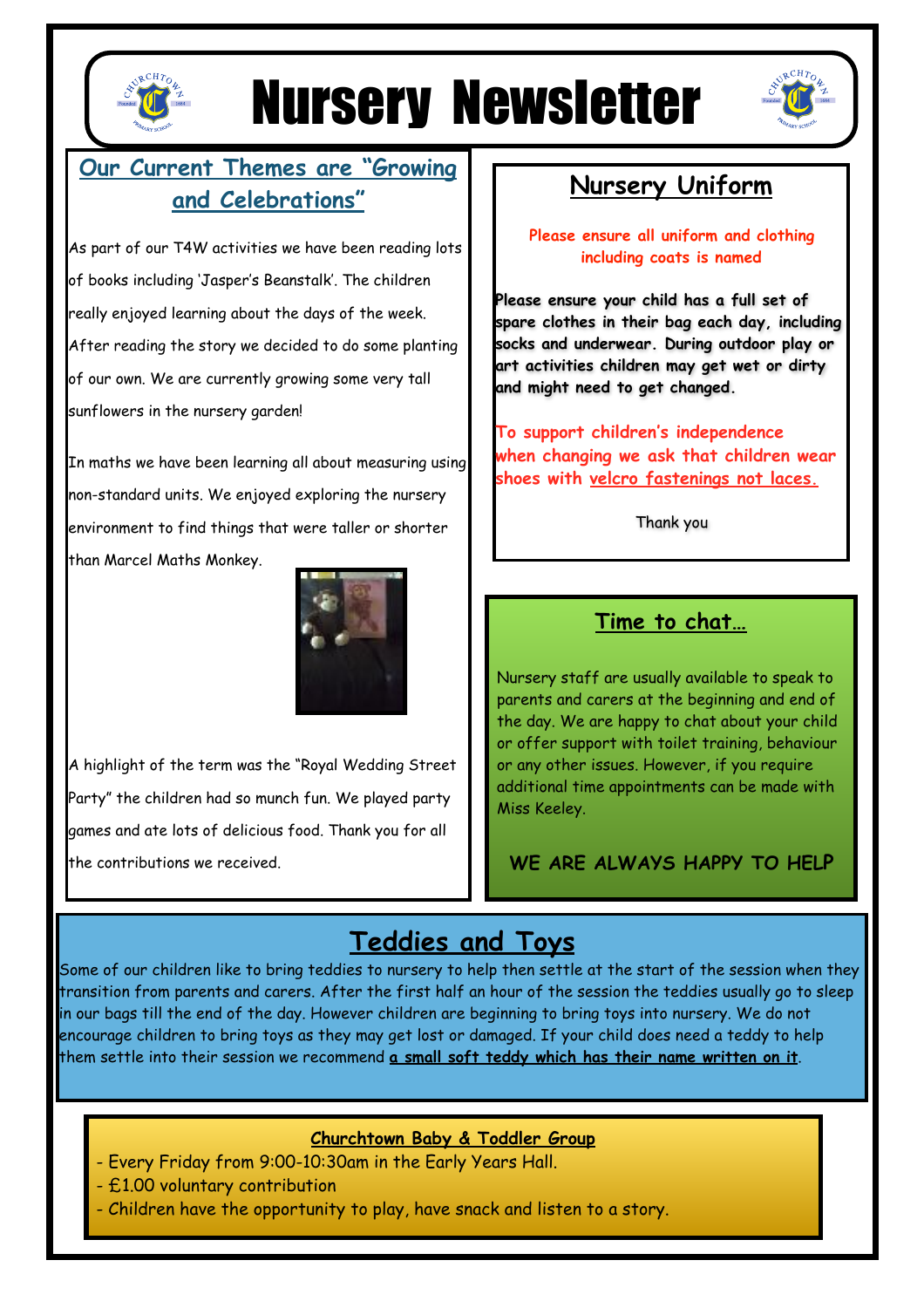

# Nursery Newsletter



## **Our Current Themes are "Growing and Celebrations"**

As part of our T4W activities we have been reading lots of books including 'Jasper's Beanstalk'. The children really enjoyed learning about the days of the week. After reading the story we decided to do some planting of our own. We are currently growing some very tall sunflowers in the nursery garden!

In maths we have been learning all about measuring using non-standard units. We enjoyed exploring the nursery environment to find things that were taller or shorter than Marcel Maths Monkey.



A highlight of the term was the "Royal Wedding Street Party" the children had so munch fun. We played party games and ate lots of delicious food. Thank you for all the contributions we received.

## **Nursery Uniform**

**Please ensure all uniform and clothing including coats is named** 

**Please ensure your child has a full set of spare clothes in their bag each day, including socks and underwear. During outdoor play or art activities children may get wet or dirty and might need to get changed.** 

**To support children's independence when changing we ask that children wear shoes with velcro fastenings not laces.**

Thank you

### **Time to chat…**

Nursery staff are usually available to speak to parents and carers at the beginning and end of the day. We are happy to chat about your child or offer support with toilet training, behaviour or any other issues. However, if you require additional time appointments can be made with Miss Keeley.

**WE ARE ALWAYS HAPPY TO HELP**

## **Teddies and Toys**

Some of our children like to bring teddies to nursery to help then settle at the start of the session when they transition from parents and carers. After the first half an hour of the session the teddies usually go to sleep in our bags till the end of the day. However children are beginning to bring toys into nursery. We do not encourage children to bring toys as they may get lost or damaged. If your child does need a teddy to help them settle into their session we recommend **a small soft teddy which has their name written on it**.

#### **Churchtown Baby & Toddler Group**

- Every Friday from 9:00-10:30am in the Early Years Hall.
- £1.00 voluntary contribution
- Children have the opportunity to play, have snack and listen to a story.